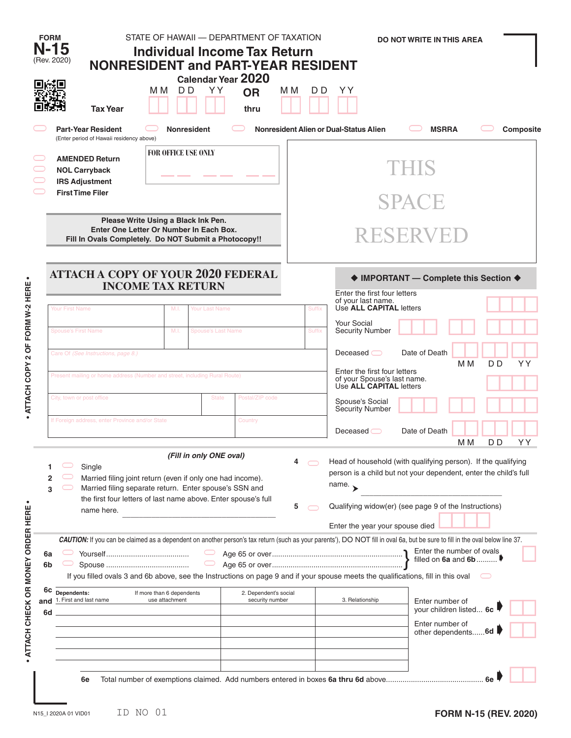|                                         | <b>FORM</b><br>N-15<br>(Rev. 2020)                                                                                                                                                                                                                                                                                                                                                                                                                                            | <b>NONRESIDENT and PART-YEAR RESIDENT</b><br><b>Tax Year</b> | STATE OF HAWAII - DEPARTMENT OF TAXATION<br><b>Individual Income Tax Return</b><br>м м<br>D D | YY.                       | Calendar Year 2020<br><b>OR</b><br>thru | M M                                                                                                                                                                                                               | D D                                                                                                                                                                                                                          | YY                                                                                                                                       | <b>DO NOT WRITE IN THIS AREA</b> |                       |    |  |  |
|-----------------------------------------|-------------------------------------------------------------------------------------------------------------------------------------------------------------------------------------------------------------------------------------------------------------------------------------------------------------------------------------------------------------------------------------------------------------------------------------------------------------------------------|--------------------------------------------------------------|-----------------------------------------------------------------------------------------------|---------------------------|-----------------------------------------|-------------------------------------------------------------------------------------------------------------------------------------------------------------------------------------------------------------------|------------------------------------------------------------------------------------------------------------------------------------------------------------------------------------------------------------------------------|------------------------------------------------------------------------------------------------------------------------------------------|----------------------------------|-----------------------|----|--|--|
|                                         | <b>Part-Year Resident</b><br><b>Nonresident</b>                                                                                                                                                                                                                                                                                                                                                                                                                               |                                                              |                                                                                               |                           |                                         |                                                                                                                                                                                                                   | Nonresident Alien or Dual-Status Alien                                                                                                                                                                                       | <b>MSRRA</b>                                                                                                                             |                                  | Composite             |    |  |  |
|                                         | (Enter period of Hawaii residency above)<br><b>FOR OFFICE USE ONLY</b><br><b>AMENDED Return</b><br><b>NOL Carryback</b><br><b>IRS Adjustment</b><br><b>First Time Filer</b><br>Please Write Using a Black Ink Pen.<br>Enter One Letter Or Number In Each Box.<br>Fill In Ovals Completely. Do NOT Submit a Photocopy!!                                                                                                                                                        |                                                              |                                                                                               |                           |                                         |                                                                                                                                                                                                                   | THIS                                                                                                                                                                                                                         |                                                                                                                                          |                                  |                       |    |  |  |
|                                         |                                                                                                                                                                                                                                                                                                                                                                                                                                                                               |                                                              |                                                                                               |                           |                                         |                                                                                                                                                                                                                   | <b>SPACE</b>                                                                                                                                                                                                                 |                                                                                                                                          |                                  |                       |    |  |  |
|                                         |                                                                                                                                                                                                                                                                                                                                                                                                                                                                               |                                                              |                                                                                               |                           |                                         |                                                                                                                                                                                                                   | RESERVED                                                                                                                                                                                                                     |                                                                                                                                          |                                  |                       |    |  |  |
| $\bullet$                               | <b>ATTACH A COPY OF YOUR 2020 FEDERAL</b><br><b>INCOME TAX RETURN</b>                                                                                                                                                                                                                                                                                                                                                                                                         |                                                              |                                                                                               |                           |                                         |                                                                                                                                                                                                                   | ♦ IMPORTANT - Complete this Section ♦<br>Enter the first four letters<br>of your last name.                                                                                                                                  |                                                                                                                                          |                                  |                       |    |  |  |
|                                         | Your First Name                                                                                                                                                                                                                                                                                                                                                                                                                                                               |                                                              | M.I.                                                                                          | Your Last Name            |                                         |                                                                                                                                                                                                                   | Suffix                                                                                                                                                                                                                       | Use ALL CAPITAL letters<br><b>Your Social</b>                                                                                            |                                  |                       |    |  |  |
|                                         | <b>Spouse's First Name</b>                                                                                                                                                                                                                                                                                                                                                                                                                                                    |                                                              | M.I.                                                                                          | <b>Spouse's Last Name</b> |                                         |                                                                                                                                                                                                                   | <b>Suffix</b>                                                                                                                                                                                                                | <b>Security Number</b>                                                                                                                   |                                  |                       |    |  |  |
| ATTACH COPY 2 OF FORM W-2 HERE          | Care Of (See Instructions, page 8.)<br>Present mailing or home address (Number and street, including Rural Route)<br>City, town or post office<br>Postal/ZIP code<br><b>State</b>                                                                                                                                                                                                                                                                                             |                                                              |                                                                                               |                           |                                         |                                                                                                                                                                                                                   | Date of Death<br>Deceased $\bigcirc$<br>D <sub>D</sub><br>YY<br>M <sub>M</sub><br>Enter the first four letters<br>of your Spouse's last name.<br>Use <b>ALL CAPITAL</b> letters<br>Spouse's Social<br><b>Security Number</b> |                                                                                                                                          |                                  |                       |    |  |  |
| $\bullet$                               | If Foreign address, enter Province and/or State<br>Country                                                                                                                                                                                                                                                                                                                                                                                                                    |                                                              |                                                                                               |                           |                                         |                                                                                                                                                                                                                   |                                                                                                                                                                                                                              | Deceased                                                                                                                                 | Date of Death                    | D <sub>D</sub><br>M M | YY |  |  |
|                                         | (Fill in only ONE oval)<br>4<br>Single<br>Married filing joint return (even if only one had income).<br>2<br>Married filing separate return. Enter spouse's SSN and<br>3<br>the first four letters of last name above. Enter spouse's full<br>5<br>name here.                                                                                                                                                                                                                 |                                                              |                                                                                               |                           |                                         | Head of household (with qualifying person). If the qualifying<br>person is a child but not your dependent, enter the child's full<br>name. $\rightarrow$<br>Qualifying widow(er) (see page 9 of the Instructions) |                                                                                                                                                                                                                              |                                                                                                                                          |                                  |                       |    |  |  |
| ATTACH CHECK OR MONEY ORDER HERE<br>and | CAUTION: If you can be claimed as a dependent on another person's tax return (such as your parents'), DO NOT fill in oval 6a, but be sure to fill in the oval below line 37.<br>6a<br>6b<br>If you filled ovals 3 and 6b above, see the Instructions on page 9 and if your spouse meets the qualifications, fill in this oval<br>6c<br>Dependents:<br>2. Dependent's social<br>If more than 6 dependents<br>1. First and last name<br>use attachment<br>security number<br>6d |                                                              |                                                                                               |                           |                                         |                                                                                                                                                                                                                   | Enter the year your spouse died<br>3. Relationship                                                                                                                                                                           | Enter the number of ovals<br>filled on 6a and 6b<br>Enter number of<br>your children listed 6c<br>Enter number of<br>other dependents 6d |                                  |                       |    |  |  |
|                                         |                                                                                                                                                                                                                                                                                                                                                                                                                                                                               | 6e                                                           |                                                                                               |                           |                                         |                                                                                                                                                                                                                   |                                                                                                                                                                                                                              |                                                                                                                                          |                                  |                       |    |  |  |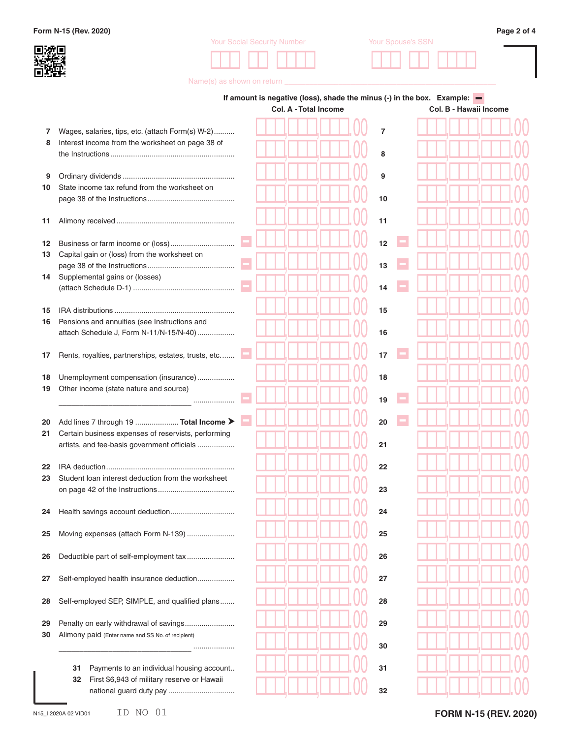**Form N-15 (Rev. 2020) Page 2 of 4**



| <b>Your Social Security Number</b> | Your Spouse's SSN |  |  |  |
|------------------------------------|-------------------|--|--|--|
|                                    |                   |  |  |  |



Name(s) as shown on return **\_\_\_** 

|          |                                                                                                 | If amount is negative (loss), shade the minus (-) in the box. Example: $\blacksquare$<br>Col. B - Hawaii Income<br><b>Col. A - Total Income</b> |                |  |  |  |  |
|----------|-------------------------------------------------------------------------------------------------|-------------------------------------------------------------------------------------------------------------------------------------------------|----------------|--|--|--|--|
| 7        | Wages, salaries, tips, etc. (attach Form(s) W-2)                                                |                                                                                                                                                 | $\overline{7}$ |  |  |  |  |
| 8        | Interest income from the worksheet on page 38 of                                                |                                                                                                                                                 | 8              |  |  |  |  |
| 9        |                                                                                                 |                                                                                                                                                 | 9              |  |  |  |  |
| 10       | State income tax refund from the worksheet on                                                   |                                                                                                                                                 | 10             |  |  |  |  |
| 11       |                                                                                                 |                                                                                                                                                 | 11             |  |  |  |  |
| 12<br>13 | Capital gain or (loss) from the worksheet on                                                    |                                                                                                                                                 | 12<br>13       |  |  |  |  |
| 14       | Supplemental gains or (losses)                                                                  |                                                                                                                                                 | 14             |  |  |  |  |
| 15<br>16 | Pensions and annuities (see Instructions and<br>attach Schedule J, Form N-11/N-15/N-40)         |                                                                                                                                                 | 15<br>16       |  |  |  |  |
| 17       | Rents, royalties, partnerships, estates, trusts, etc                                            |                                                                                                                                                 | 17             |  |  |  |  |
| 18<br>19 | Unemployment compensation (insurance)<br>Other income (state nature and source)                 |                                                                                                                                                 | 18<br>19       |  |  |  |  |
| 20<br>21 | Add lines 7 through 19  Total Income ><br>Certain business expenses of reservists, performing   |                                                                                                                                                 | 20             |  |  |  |  |
| 22       | artists, and fee-basis government officials                                                     |                                                                                                                                                 | 21<br>22       |  |  |  |  |
| 23       | Student loan interest deduction from the worksheet                                              |                                                                                                                                                 | 23             |  |  |  |  |
| 24       |                                                                                                 |                                                                                                                                                 | 24             |  |  |  |  |
| 25       | Moving expenses (attach Form N-139)                                                             |                                                                                                                                                 | 25             |  |  |  |  |
| 26       | Deductible part of self-employment tax                                                          |                                                                                                                                                 | 26             |  |  |  |  |
| 27       | Self-employed health insurance deduction                                                        |                                                                                                                                                 | 27             |  |  |  |  |
| 28       | Self-employed SEP, SIMPLE, and qualified plans                                                  |                                                                                                                                                 | 28             |  |  |  |  |
| 29<br>30 | Penalty on early withdrawal of savings<br>Alimony paid (Enter name and SS No. of recipient)<br> |                                                                                                                                                 | 29<br>30       |  |  |  |  |
|          | Payments to an individual housing account<br>31                                                 |                                                                                                                                                 | 31             |  |  |  |  |
|          | First \$6,943 of military reserve or Hawaii<br>32                                               |                                                                                                                                                 | 32             |  |  |  |  |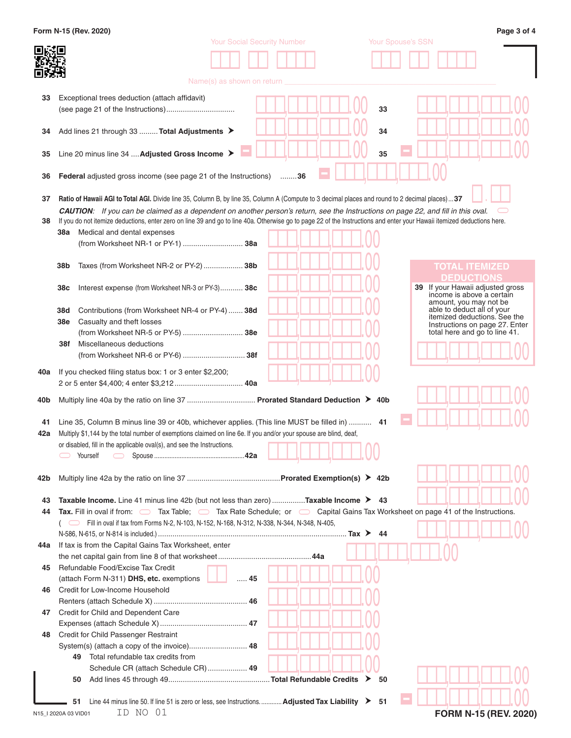|     | Form N-15 (Rev. 2020)                                                                                                                                                   |                                                                                                   | Page 3 of 4                                                     |
|-----|-------------------------------------------------------------------------------------------------------------------------------------------------------------------------|---------------------------------------------------------------------------------------------------|-----------------------------------------------------------------|
|     |                                                                                                                                                                         | <b>Your Social Security Number</b>                                                                | Your Spouse's SSN                                               |
|     |                                                                                                                                                                         |                                                                                                   |                                                                 |
|     |                                                                                                                                                                         |                                                                                                   |                                                                 |
|     |                                                                                                                                                                         | Name(s) as shown on return                                                                        |                                                                 |
|     |                                                                                                                                                                         |                                                                                                   |                                                                 |
| 33  | Exceptional trees deduction (attach affidavit)                                                                                                                          |                                                                                                   | 33                                                              |
|     |                                                                                                                                                                         |                                                                                                   |                                                                 |
|     |                                                                                                                                                                         |                                                                                                   | 34                                                              |
| 34  | Add lines 21 through 33  Total Adjustments ▶                                                                                                                            |                                                                                                   |                                                                 |
|     | Line 20 minus line 34  Adjusted Gross Income >                                                                                                                          |                                                                                                   | 35                                                              |
| 35  |                                                                                                                                                                         |                                                                                                   |                                                                 |
| 36  | <b>Federal</b> adjusted gross income (see page 21 of the Instructions) 36                                                                                               |                                                                                                   |                                                                 |
|     |                                                                                                                                                                         |                                                                                                   |                                                                 |
| 37  | Ratio of Hawaii AGI to Total AGI. Divide line 35, Column B, by line 35, Column A (Compute to 3 decimal places and round to 2 decimal places)37                          |                                                                                                   |                                                                 |
|     | <b>CAUTION:</b> If you can be claimed as a dependent on another person's return, see the Instructions on page 22, and fill in this oval.                                |                                                                                                   |                                                                 |
| 38  | If you do not itemize deductions, enter zero on line 39 and go to line 40a. Otherwise go to page 22 of the Instructions and enter your Hawaii itemized deductions here. |                                                                                                   |                                                                 |
|     | Medical and dental expenses<br>38a                                                                                                                                      |                                                                                                   |                                                                 |
|     | (from Worksheet NR-1 or PY-1)  38a                                                                                                                                      |                                                                                                   |                                                                 |
|     |                                                                                                                                                                         |                                                                                                   |                                                                 |
|     | Taxes (from Worksheet NR-2 or PY-2)  38b<br>38b                                                                                                                         |                                                                                                   | <b>TOTAL ITEMIZED</b>                                           |
|     |                                                                                                                                                                         |                                                                                                   | DEDUCTIONS                                                      |
|     | Interest expense (from Worksheet NR-3 or PY-3) 38c<br>38c                                                                                                               |                                                                                                   | 39 If your Hawaii adjusted gross                                |
|     |                                                                                                                                                                         |                                                                                                   | income is above a certain                                       |
|     | Contributions (from Worksheet NR-4 or PY-4)  38d<br>38d                                                                                                                 |                                                                                                   | amount, you may not be<br>able to deduct all of your            |
|     | Casualty and theft losses<br>38e                                                                                                                                        |                                                                                                   | itemized deductions. See the                                    |
|     | (from Worksheet NR-5 or PY-5)  38e                                                                                                                                      |                                                                                                   | Instructions on page 27. Enter<br>total here and go to line 41. |
|     | Miscellaneous deductions<br>38f                                                                                                                                         |                                                                                                   |                                                                 |
|     | (from Worksheet NR-6 or PY-6)  38f                                                                                                                                      |                                                                                                   |                                                                 |
|     |                                                                                                                                                                         |                                                                                                   |                                                                 |
| 40a | If you checked filing status box: 1 or 3 enter \$2,200;                                                                                                                 |                                                                                                   |                                                                 |
|     | 2 or 5 enter \$4,400; 4 enter \$3,212 40a                                                                                                                               |                                                                                                   |                                                                 |
| 40b | Multiply line 40a by the ratio on line 37  Prorated Standard Deduction > 40b                                                                                            |                                                                                                   |                                                                 |
|     |                                                                                                                                                                         |                                                                                                   |                                                                 |
| 41  | Line 35, Column B minus line 39 or 40b, whichever applies. (This line MUST be filled in)  41                                                                            |                                                                                                   |                                                                 |
| 42a | Multiply \$1,144 by the total number of exemptions claimed on line 6e. If you and/or your spouse are blind, deaf,                                                       |                                                                                                   |                                                                 |
|     | or disabled, fill in the applicable oval(s), and see the Instructions.                                                                                                  |                                                                                                   |                                                                 |
|     | Yourself                                                                                                                                                                |                                                                                                   |                                                                 |
|     |                                                                                                                                                                         |                                                                                                   |                                                                 |
| 42b |                                                                                                                                                                         |                                                                                                   |                                                                 |
|     |                                                                                                                                                                         |                                                                                                   |                                                                 |
| 43  | Taxable Income. Line 41 minus line 42b (but not less than zero) Taxable Income ▶ 43                                                                                     |                                                                                                   |                                                                 |
| 44  | Tax. Fill in oval if from: <u>Tax Table;</u> Tax Rate Schedule; or Capital Gains Tax Worksheet on page 41 of the Instructions.                                          |                                                                                                   |                                                                 |
|     | ( Fill in oval if tax from Forms N-2, N-103, N-152, N-168, N-312, N-338, N-344, N-348, N-405,                                                                           |                                                                                                   |                                                                 |
|     |                                                                                                                                                                         |                                                                                                   |                                                                 |
| 44a | If tax is from the Capital Gains Tax Worksheet, enter                                                                                                                   |                                                                                                   |                                                                 |
|     |                                                                                                                                                                         |                                                                                                   |                                                                 |
| 45  | Refundable Food/Excise Tax Credit                                                                                                                                       |                                                                                                   |                                                                 |
|     | (attach Form N-311) DHS, etc. exemptions                                                                                                                                | 45                                                                                                |                                                                 |
| 46  | Credit for Low-Income Household                                                                                                                                         |                                                                                                   |                                                                 |
|     |                                                                                                                                                                         |                                                                                                   |                                                                 |
| 47  | Credit for Child and Dependent Care                                                                                                                                     |                                                                                                   |                                                                 |
|     |                                                                                                                                                                         |                                                                                                   |                                                                 |
| 48  | Credit for Child Passenger Restraint                                                                                                                                    |                                                                                                   |                                                                 |
|     | System(s) (attach a copy of the invoice) 48                                                                                                                             |                                                                                                   |                                                                 |
|     | Total refundable tax credits from<br>49                                                                                                                                 |                                                                                                   |                                                                 |
|     | Schedule CR (attach Schedule CR) 49                                                                                                                                     |                                                                                                   |                                                                 |
|     | 50                                                                                                                                                                      |                                                                                                   | 50                                                              |
|     |                                                                                                                                                                         |                                                                                                   |                                                                 |
|     | 51                                                                                                                                                                      | Line 44 minus line 50. If line 51 is zero or less, see Instructions.  Adjusted Tax Liability > 51 |                                                                 |
|     | ID NO 01<br>N15_I 2020A 03 VID01                                                                                                                                        |                                                                                                   | FORM N-15 (REV. 2020)                                           |